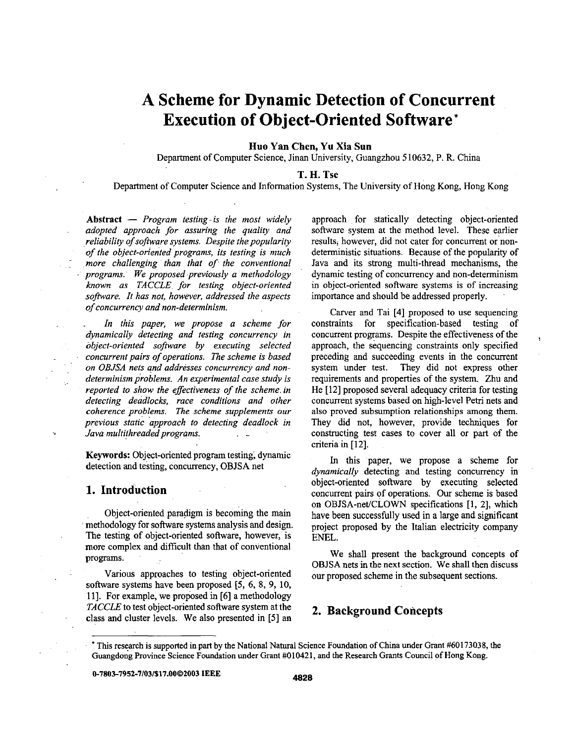# **A Scheme for Dynamic Detection of Concurrent Execution of Object-Oriented Software\***

#### **Huo Yan Chen, Yu** Xia **Sun**

Department of Computer Science, Jinan University, Guangzhou *5* **10632, P.** R. China

#### **T. H. Tse**

Department of Computer Science and Information Systems, The University of Hong Kong, Hong Kong

Abstract - *Program testing-is the most widely adopted approach for assuring the quality and reliability of software systems. Despite the popularity of the object-onented programs, its testing is much*  : *more challenging than that of the conventional programs.* ~ *We proposed previously a methodology known as TACCLE for testing object-oriented software. It has not, however, addressed the aspects of Concurrency and non-determinism.* 

In this paper, we propose a scheme for *dynamically detecting and testing concurrency in object-oriented safiware by executing selected concurrent pairs of operations. The scheme is based on OBJSA nets and addresses concurrency and nondeterminism problems. An experimental case study is reported to show the effectiveness of the scheme. in detecting deadlocks, race conditions and other coherence problems. The scheme supplements our previous static approach to detecting deadlock in Java multithreaded programs.* .-

**Keywords:** Object-oriented program testing, dynamic detection and testing, concurrency, **OBJSA** net

#### **1. Introduction**

Object-oriented paradigm is becoming the main <sup>~</sup>methodology for software systems analysis and design. The testing of object-oriented software, however, is more complex and difficult than that of conventional **programs.** 

Various approaches to testing object-oriented software systems have been proposed *(5,* 6, 8, 9, 10, 111. For example, we proposed in [6] a methodology *TACCLE* to test object-oriented software system at the class and cluster levels. We also presented in *[5]* an approach for statically detecting object-oriented software system at the method level. These earlier results, however, did not cater for concurrent or nondeterministic situations. Because of the popularity of Java and its strong multi-thread mechanisms, the dynamic testing of concurrency and non-determinism in object-oriented software systems is of increasing importance and should be addressed properly.

Carver and Tai **[4]** proposed to use sequencing constraints for specification-based testing of concurrent programs. Despite the effectiveness of the approach, the sequencing constraints only specified preceding and succeeding events in the concurrent system under test. They did not express other requirements and properties of the system. Zhu and He **1121** proposed several adequacy criteria for testing concurrent systems based on high-level Petri nets and also proved subsumption relationships among them. They did not, however, provide techniques for constructing test cases to cover all or part of the criteria in [12].

In this paper, we propose a scheme for *dynamically* detecting and testing concurrency in object-oriented software by executing selected concurrent pairs of operations. OUT scheme is based on OBJSA-net/CLOWN specifications [l, 21, which have been successfully used in a large and significant project proposed by the Italian electricity company **ENEL.** 

We shall present the background concepts of **OBJSA** nets in the next section. We shall then discuss OUT proposed scheme in the subsequent sections.

## **2. Background Concepts**

**0-7803-7952-7/03/\$17.00@2003 IEEE 4828** 

<sup>&#</sup>x27; This research **is** supported in **part** by the National **Natural** Science Foundation of China under Grant **#60173038,** the Guangdong Province Science Foundation under Grant #010421, and **the** Research Grants Council **of** Hong Kong.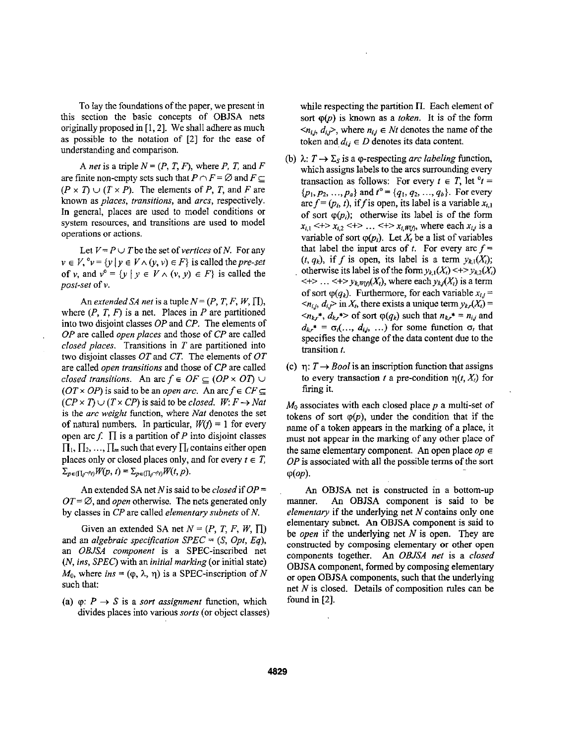To lay the foundations of the paper, we present in this section the basic concepts of OBJSA nets originally proposed in [1, 2]. We shall adhere as much as possible to the notation of *[2]* for the ease of understanding and comparison.

A *net* is a triple  $N = (P, T, F)$ , where *P*, *T*, and *F* are finite non-empty sets such that  $P \cap F = \emptyset$  and  $F \subseteq$  $(P \times T) \cup (T \times P)$ . The elements of *P*, *T*, and *F* are known as *places, transitions,* and *arcs,* respectively. In general, places are used to model conditions or system resources, and transitions are used to model operations or actions.

Let  $V = P \cup T$  be the set of *vertices* of *N*. For any  $v \in V$ ,  $^0v = \{y \mid y \in V \wedge (y, v) \in F\}$  is called the *pre-set* of v, and  $v^0 = \{y \mid y \in V \land (v, y) \in F\}$  is called the *post-set* of v.

An *extended SA net* is a tuple  $N = (P, T, F, W, \Pi)$ , where  $(P, T, F)$  is a net. Places in  $P$  are partitioned into two disjoint classes *OP* and *CP.* The elements of *OP* are called *open places* and those of *CP* are called *closed places.* Transitions in *T* are partitioned into two disjoint classes OTand *CT.* The elements of *OT*  are called *open transitions* and those of *CP* are called *closed transitions.* An arc  $f \in OF \subseteq (OP \times OT)$  $(OT \times OP)$  is said to be an *open arc.* An arc  $f \in CF \subseteq$  $(CP \times T) \cup (T \times CP)$  is said to be *closed.*  $W: F \rightarrow Nat$ is the *arc weight* function, where *Nut* denotes the set of natural numbers. In particular,  $W(f) = 1$  for every open arc f.  $\Pi$  is a partition of *P* into disjoint classes  $\Pi_1, \Pi_2, \ldots, \Pi_m$  such that every  $\Pi_i$  contains either open places only or closed places only, and for every  $t \in T$ ,  $\Sigma_{p\in(\prod_i \cap^o i)}W(p, t) = \Sigma_{p\in(\prod_i \cap^o i)}W(t, p).$ 

An extended SA net *N* is said to be *closed* if *OP* =  $OT = \emptyset$ , and *open* otherwise. The nets generated only by classes in *CP* are called *elementary subnets* of *N.* 

Given an extended SA net  $N = (P, T, F, W, \Pi)$ and an *algebraic specification SPEC* = **(S,** *Opt, Eq),*  an *OBJSA component* is a SPEC-inscribed net *(N, ins, SPEC)* with an *initial marking* (or initial state)  $M_0$ , where *ins* =  $(\varphi, \lambda, \eta)$  is a SPEC-inscription of *N* such that:

(a)  $\varphi$ :  $P \rightarrow S$  is a *sort assignment* function, which divides places into various *sorts* (or object classes) while respecting the partition  $\Pi$ . Each element of sort  $\varphi(p)$  is known as a *token*. It is of the form  $\langle n_{i,j}, d_{i,j} \rangle$ , where  $n_{i,j} \in Nt$  denotes the name of the token and  $d_{ij} \in D$  denotes its data content.

- (b)  $\lambda: T \to \Sigma_s$  is a co-respecting *arc labeling* function, which assigns labels to the arcs surrounding every transaction as follows: For every  $t \in T$ , let  $\partial t =$  $\{p_1, p_2, ..., p_a\}$  and  $t^{\circ} = \{q_1, q_2, ..., q_b\}$ . For every arc  $f = (p_i, t)$ , if f is open, its label is a variable  $x_{i,1}$ of sort  $\varphi(p_i)$ ; otherwise its label is of the form  $x_{i,1}$  <+>  $x_{i,2}$  <+> ... <+>  $x_{i,W(f)}$ , where each  $x_{i,j}$  is a variable of sort  $\varphi(p_i)$ . Let  $X_i$  be a list of variables that label the input arcs of *t*. For every arc  $f =$  $(t, q_k)$ , if f is open, its label is a term  $y_{k,1}(X_i)$ ; otherwise its label is of the form  $y_{k,1}(X_i) \leq y_{k,2}(X_i)$  $\langle + \rangle$  ...  $\langle + \rangle$   $y_{k, W(t)}(X_t)$ , where each  $y_{k,j}(X_t)$  is a term of sort  $\varphi(q_k)$ . Furthermore, for each variable  $x_{i,j} =$  $\langle n_{i,j}, d_{i,j} \rangle$  in  $X_t$ , there exists a unique term  $y_{k,r}(X_t) =$  $\langle n_{kr}^*, d_{kr}^* \rangle$  of sort  $\varphi(q_k)$  such that  $n_{kr}^* = n_{ij}$  and  $d_{kr}^* = \sigma_i(..., d_{i,j}, ...)$  for some function  $\sigma_i$  that specifies the change of the data content due to the transition *t.*
- (c)  $\eta: T \rightarrow \text{Bool}$  is an inscription function that assigns to every transaction *t* a pre-condition  $\eta(t, X_t)$  for firing it.

 $M_0$  associates with each closed place  $p$  a multi-set of tokens of sort  $\varphi(p)$ , under the condition that if the name of a token appears in the marking of a place, it must not appear in the marking of any other place of the same elementary component. An open place  $op \in$ *OP* is associated with all the possible terms of the sort  $\varphi(op)$ .

**An** OBJSA net is constructed in a bottom-up manner. **An** OBJSA component is said to be *elementary* if the underlying net *N* contains only one elementary subnet. **An** OBJSA component is said to be *open* if the underlying net *N* is open. They are constructed by composing elementary or other open components together. **An** *0BJ.A net* is a *closed*  OBJSA component, formed by composing elementary or open OBJSA components, such that the underlying net *N* is closed. Details of composition rules can be found in **[2].**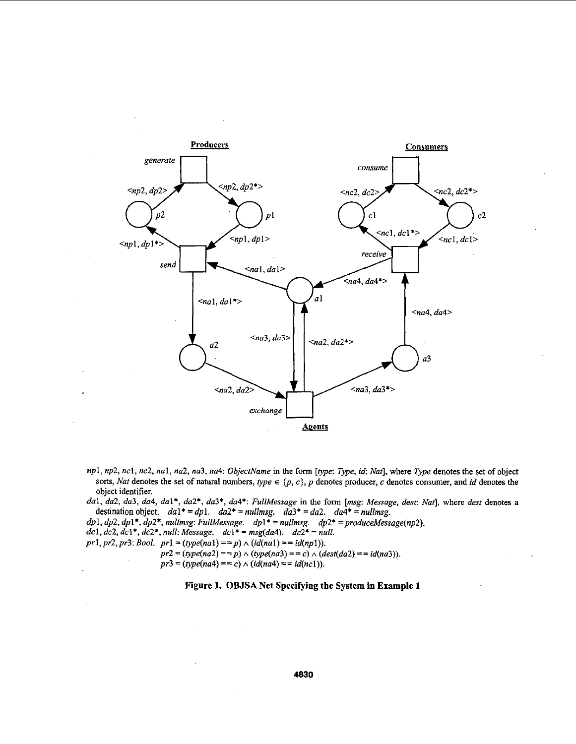

*npl, np2, ncl, nc2, nal, na2, na3, na4: ObjectName* in the *form [type: Type,* id *Nat],* where *Type* denotes the set of object sorts, *Nat* denotes the set of natural numbers,  $type \in \{p, c\}$ , *p* denotes producer, *c* denotes consumer, and *id* denotes the object identifier.

*dal, da2, da3, da4, dal\*, da2\*, da3\*, da4\*: FullMessage in* the form *[msg: Message, dest: Naf],* where *dest* denotes a destination object.  $da1^* = dp1$ .  $da2^* = nullmsg$ .  $da3^* = da2$ .  $da4^* = nullmsg$ .

 $dp1, dp2, dp1*, dp2*, nullmsg: FullMessage.$   $dp1* = nullmsg.$   $dp2* = produceMessage(np2).$ 

*dcl, dcl, dcl\*, dcl\*, null: Message.*   $dc1* = msg(da4)$ .  $dc2* = null$ .

 $pr1, pr2, pr3: Bool.$   $pr1 = (type(na1) == p) \wedge (id(na1) == id(np1)).$ 

 $pr2 = (type(na2) == p) \land (type(na3) == c) \land (dest(da2) == id(na3)).$ 

## $pr3 = (type(na4) == c) \land (id(na4) == id(nc1)).$

#### **Figure 1. OBJSA Net Specifying the System in Example 1**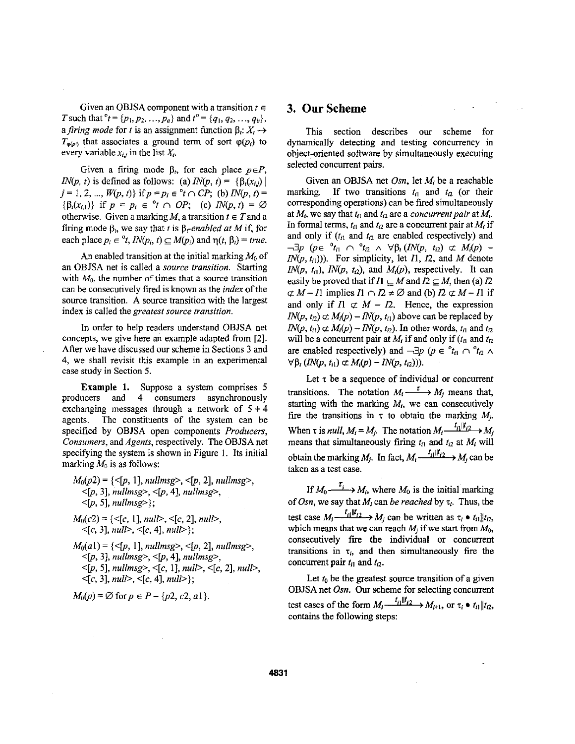Given an OBJSA component with a transition  $t \in$ *T* such that  ${}^{\circ}t = \{p_1, p_2, ..., p_a\}$  and  $t^{\circ} = \{q_1, q_2, ..., q_b\}$ , a firing mode for t is an assignment function  $\beta_t: X_t \to$  $T_{\varphi(p_i)}$  that associates a ground term of sort  $\varphi(p_i)$  to every variable  $x_{i,j}$  in the list  $X_i$ .

Given a firing mode  $\beta_t$ , for each place  $p \in P$ , *IN(p, t)* is defined as follows: (a)  $IN(p, t) = \{ \beta_i(x_{i,i}) \}$  $j = 1, 2, ..., W(p, t)$  if  $p = p_i \in {}^{\circ}t \cap CP$ ; (b)  $IN(p, t) =$  ${\beta_i(x_{i,1})}$  if  $p = p_i \in {}^{\circ}t \cap OP;$  (c)  $IN(p, t) = \emptyset$ otherwise. Given a marking M, a transition  $t \in T$  and a firing mode  $\beta_t$ , we say that *t* is  $\beta_t$ -enabled at *M* if, for each place  $p_i \in {}^{\circ}t$ ,  $IN(p_i, t) \subseteq M(p_i)$  and  $\eta(t, \beta_i) = true$ .

An enabled transition at the initial marking  $M_0$  of an OBJSA net is called a source transition. Starting with  $M_0$ , the number of times that a source transition can be consecutively fred is known as the index of the source transition. A source transition with the largest index **is** called the greatest source transition.

In order to help readers understand OBJSA net concepts, we give here an example adapted from **[2].**  After we have discussed our scheme in Sections **3** and **4,** we shall revisit this example in an experimental case study in Section *5.* 

**Example 1.** Suppose a system comprises **5**  producers and **4** consumers asynchronously exchanging messages through a network of  $5 + 4$ agents. The constituents of the system can be specified by OBJSA open components Producers, Consumers, and *Agents,* respectively. The OBJSA net specifying the system is shown in Figure 1. Its initial marking  $M_0$  is as follows:

- *M&2)* = {<[p, I], *nullmsg>,* <[p, 21, *nullmsg>,*  <[p, **31,** *nullmsgz,* +, **41,** *nullmsgz,*   $\{[p, 5], nullmsg>\};$
- $M_0(c2) = \{ \langle c, 1 \rangle, \text{null} \rangle, \langle c, 2 \rangle, \text{null} \rangle,$ <[c, **31,** *null>,* <[c, **41,** *null>};*

 $M_0(a1) = \{ \leq [p, 1], nullmsg >, \leq [p, 2], nullmsg >, \}$  $\leq [p, 3], nullmsg>, \leq [p, 4], nullmsg>,$ <[p, **51,** *nullmsgz,* <[c, 11, *null>,* <[c, **21,** *null>,*   $\langle [c, 3], \text{null} \rangle, \langle [c, 4], \text{null} \rangle;$ 

$$
M_0(p) = \emptyset
$$
 for  $p \in P - \{p2, c2, a1\}.$ 

#### **3. OurScheme**

This section describes our scheme for dynamically detecting and testing concurrency in object-oriented software by simultaneously executing selected concurrent pairs.

Given an OBJSA net *Osn,* let *Mi* be a reachable marking. If two transitions  $t_{i1}$  and  $t_{i2}$  (or their corresponding operations) can be fired simultaneously at  $M_i$ , we say that  $t_{i1}$  and  $t_{i2}$  are a *concurrent pair* at  $M_i$ . In formal terms,  $t_{i1}$  and  $t_{i2}$  are a concurrent pair at  $M_i$  if and only if  $(t_{i1}$  and  $t_{i2}$  are enabled respectively) and  $\neg \exists p \quad (p \in \n\begin{array}{c} \circ_{t_{i1}} & \cap \n\end{array} \n\begin{array}{c} \circ_{t_{i2}} & \wedge \n\end{array} \n\forall \beta_t (IN(p, t_{i2}) \not\subset M_i(p) -1)$  $IN(p, t_{i1}))$ . For simplicity, let  $I1$ ,  $I2$ , and  $M$  denote *IN(p, t<sub>il</sub>), <i>IN(p, t<sub>i2</sub>)*, and *M<sub>i</sub>(p)*, respectively. It can easily be proved that if  $I1 \subseteq M$  and  $I2 \subseteq M$ , then (a)  $I2$  $\subset M$  - Il implies  $I1 \cap I2 \neq \emptyset$  and (b)  $I2 \subset M$  - Il if and only if  $I_1 \not\subset M - I_2$ . Hence, the expression  $IN(p, t_2) \not\subset M_i(p) - IN(p, t_i)$  above can be replaced by  $IN(p, t_{i}) \not\subset M_{i}(p) - IN(p, t_{i2})$ . In other words,  $t_{i1}$  and  $t_{i2}$ will be a concurrent pair at  $M_i$  if and only if  $(t_i)$  and  $t_2$ are enabled respectively) and  $\neg \exists p \ (p \in {}^{\circ} t_{i1} \cap {}^{\circ} t_{i2} \land )$  $\forall \beta_i (IN(p, t_{i1}) \subset M_i(p) - IN(p, t_{i2})).$ 

Let  $\tau$  be a sequence of individual or concurrent transitions. The notation  $M_i \xrightarrow{\tau} M_j$  means that, starting with the marking *Mi,* we can consecutively fire the transitions in  $\tau$  to obtain the marking  $M_i$ . When  $\tau$  is *null,*  $M_i = M_j$ . The notation  $M_i \xrightarrow{t_i ||t_{i2}} M_j$ means that simultaneously firing  $t_{i1}$  and  $t_{i2}$  at  $M_i$  will obtain the marking  $M_i$ . In fact,  $M_i \xrightarrow{t_i | l_i t_{i2}} M_i$  can be taken as a test case.

If  $M_0 \xrightarrow{i} M_i$ , where  $M_0$  is the initial marking of *Osn*, we say that  $M_i$  can be reached by  $\tau_i$ . Thus, the test case  $M_i \xrightarrow{t_i || t_{i2} \rightarrow M_i} M_i$  can be written as  $\tau_i \cdot t_{i1} || t_{i2}$ , which means that we can reach  $M_i$  if we start from  $M_0$ , consecutively fre the individual or concurrent transitions in  $\tau_i$ , and then simultaneously fire the concurrent pair  $t_{i1}$  and  $t_{i2}$ .

Let  $t_0$  be the greatest source transition of a given OBJSA net *Osn. Our* scheme for selecting concurrent test cases of the form  $M_i \xrightarrow{t_i || t_{i2} \rightarrow M_{i+1}}$ , or  $\tau_i \cdot t_i || t_{i2}$ , contains the following steps: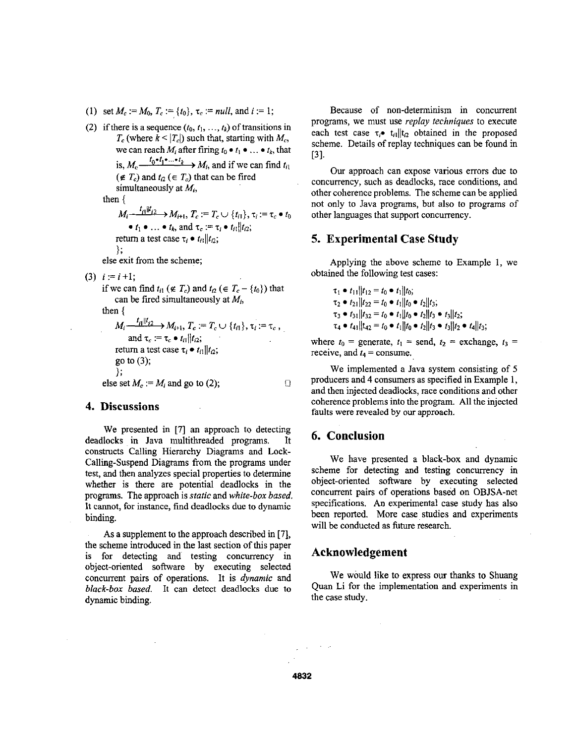(1) set  $M_c := M_0$ ,  $T_c := \{t_0\}$ ,  $\tau_c := null$ , and  $i := 1$ ;

(2) if there is a sequence  $(t_0, t_1, \ldots, t_k)$  of transitions in  $T_c$  (where  $k \leq |T_c|$ ) such that, starting with  $M_c$ , we can reach  $M_i$  after firing  $t_0 \bullet t_1 \bullet \dots \bullet t_k$ , that is,  $M_c \xrightarrow{t_0 \cdot t_1 \cdot \ldots \cdot t_k} M_i$ , and if we can find  $t_{i_1}$  $(\notin T_c)$  and  $t_{12} \in T_c$ ) that can be fired simultaneously at  $M_i$ , then {

 $M_i \frac{t_{i1} || t_{i2}}{ } \to M_{i+1}, T_c := T_c \cup \{t_{i1}\}, \tau_i := \tau_c \bullet t_0$ return a test case  $\tau_i \bullet t_i || t_i$ ; 1;  $\bullet$  *t*<sub>1</sub>  $\bullet$  ...  $\bullet$  *t*<sub>k</sub>, and  $\tau_c := \tau_i \bullet t_{ii} || t_{i2}$ ;

else exit from the scheme;

 $(3)$  *i* := *i* +1;

if we can find  $t_{i1}$  ( $\notin T_c$ ) and  $t_{i2}$  ( $\in T_c - \{t_0\}$ ) that can be fired simultaneously at *Mi,* 

then {

 $M_i \frac{t_{i1} || t_{i2} }{ \sqrt{t_{i1} + t_{i2}}}$   $M_{i+1}, T_c := T_c \cup \{t_{i1}\}, \tau_i := \tau_c$ , return a test case  $\tau_i \bullet t_{i1} || t_{i2};$ go to **(3);**  }; else set  $M_c := M_i$  and go to (2); and  $\tau_c := \tau_c \bullet t_{i1} || t_{i2};$ *0* 

# **4. Discussions**

We presented in [7] an approach to detecting deadlocks in Java multithreaded programs. It constructs Calling Hierarchy Diagrams and Lock-Calling-Suspend Diagrams from the programs under test, and then analyzes special properties to determine whether is there are potential deadlocks in the programs. The approach is *static* and *white-box based.*  It cannot, **for** instance, find deadlocks due to dynamic binding.

As **a** supplement to the approach described in [7], the scheme introduced in the last section of this paper is for detecting and testing concurrency in object-oriented software by executing selected concurrent pairs of operations. It is *dynamic* and *black-box based.* It can detect deadlocks due to dynamic binding.

Because of non-determinism in concurrent programs, we must use *replay techniques* to execute each test case  $\tau_i$ .  $t_i$ <sub>ll</sub>lt<sub>p</sub> obtained in the proposed scheme. Details of replay techniques can be found in [3].

**Our** approach can expose various errors due to concurrency, such as deadlocks, race conditions, and other coherence problems. The scheme can be applied not only to Java programs, but also to programs of other languages that support concurrency.

# **5. Experimental Case Study**

Applying the above scheme to Example 1, we obtained the following test cases:

> $\tau_1 \bullet t_{11}$   $t_{12} = t_0 \bullet t_1$   $t_0$ ;  $\tau_2 \bullet t_{21}$   $|t_{22} = t_0 \bullet t_1| |t_0 \bullet t_2| |t_3;$  $\tau_3 \bullet t_{31} || t_{32} = t_0 \bullet t_1 || t_0 \bullet t_2 || t_3 \bullet t_3 || t_2;$  $\tau_4 \bullet t_{41}$ || $t_{42} = t_0 \bullet t_1$ || $t_0 \bullet t_2$ || $t_3 \bullet t_3$ || $t_2 \bullet t_4$ || $t_3$ ;

where  $t_0$  = generate,  $t_1$  = send,  $t_2$  = exchange,  $t_3$  = receive, and  $t_4$  = consume.

We implemented a Java system consisting of *5*  producers and **4** consumers as specified in Example 1, and then injected deadlocks, race conditions and other coherence problems into the program. All the injected faults were revealed **by** our approach.

#### **6. Conclusion**

**We** have presented a black-box and dynamic scheme for detecting and testing concurrency in object-oriented sofhvare by executing selected concurrent pairs of operations based on OBJSA-net specifications. *An* experimental case study has also been reported. More case studies and experiments will be conducted as future research.

#### **Acknowledgement**

We would like to express our thanks to Shuang Quan Li for the implementation and experiments in the case study.